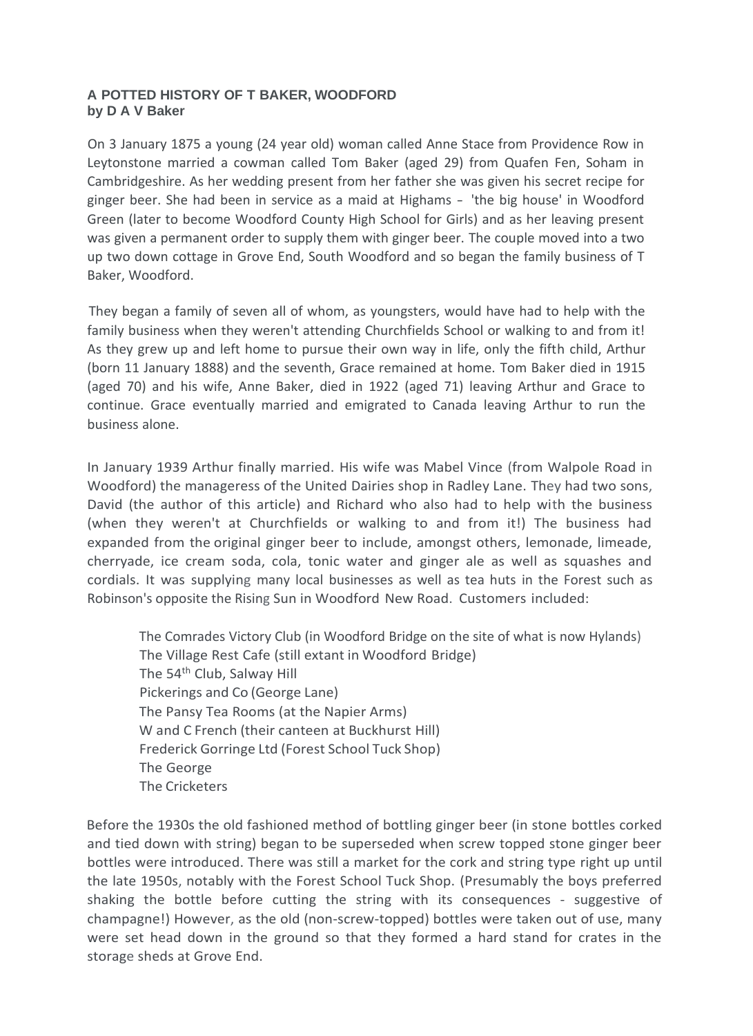## **A POTTED HISTORY OF T BAKER, WOODFORD by D A V Baker**

On 3 January 1875 a young (24 year old) woman called Anne Stace from Providence Row in Leytonstone married a cowman called Tom Baker (aged 29) from Quafen Fen, Soham in Cambridgeshire. As her wedding present from her father she was given his secret recipe for ginger beer. She had been in service as a maid at Highams - 'the big house' in Woodford Green (later to become Woodford County High School for Girls) and as her leaving present was given a permanent order to supply them with ginger beer. The couple moved into a two up two down cottage in Grove End, South Woodford and so began the family business of T Baker, Woodford.

They began a family of seven all of whom, as youngsters, would have had to help with the family business when they weren't attending Churchfields School or walking to and from it! As they grew up and left home to pursue their own way in life, only the fifth child, Arthur (born 11 January 1888) and the seventh, Grace remained at home. Tom Baker died in 1915 (aged 70) and his wife, Anne Baker, died in 1922 (aged 71) leaving Arthur and Grace to continue. Grace eventually married and emigrated to Canada leaving Arthur to run the business alone.

In January 1939 Arthur finally married. His wife was Mabel Vince (from Walpole Road in Woodford) the manageress of the United Dairies shop in Radley Lane. They had two sons, David (the author of this article) and Richard who also had to help with the business (when they weren't at Churchfields or walking to and from it!) The business had expanded from the original ginger beer to include, amongst others, lemonade, limeade, cherryade, ice cream soda, cola, tonic water and ginger ale as well as squashes and cordials. It was supplying many local businesses as well as tea huts in the Forest such as Robinson's opposite the Rising Sun in Woodford New Road. Customers included:

The Comrades Victory Club (in Woodford Bridge on the site of what is now Hylands) The Village Rest Cafe (still extant in Woodford Bridge) The 54<sup>th</sup> Club, Salway Hill Pickerings and Co (George Lane) The Pansy Tea Rooms (at the Napier Arms) W and C French (their canteen at Buckhurst Hill) Frederick Gorringe Ltd (Forest School Tuck Shop) The George The Cricketers

Before the 1930s the old fashioned method of bottling ginger beer (in stone bottles corked and tied down with string) began to be superseded when screw topped stone ginger beer bottles were introduced. There was still a market for the cork and string type right up until the late 1950s, notably with the Forest School Tuck Shop. (Presumably the boys preferred shaking the bottle before cutting the string with its consequences - suggestive of champagne!) However, as the old (non-screw-topped) bottles were taken out of use, many were set head down in the ground so that they formed a hard stand for crates in the storage sheds at Grove End.